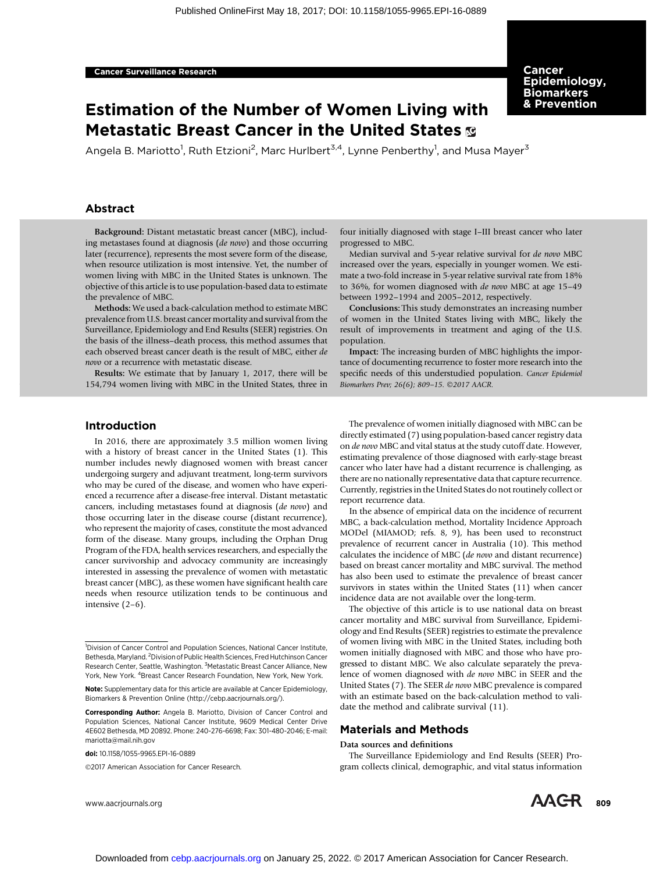# Estimation of the Number of Women Living with **Metastatic Breast Cancer in the United States &**

**Cancer** 

Epidemiology, **Biomarkers** & Prevention

Angela B. Mariotto<sup>1</sup>, Ruth Etzioni<sup>2</sup>, Marc Hurlbert<sup>3,4</sup>, Lynne Penberthy<sup>1</sup>, and Musa Mayer<sup>3</sup>

## Abstract

Background: Distant metastatic breast cancer (MBC), including metastases found at diagnosis (de novo) and those occurring later (recurrence), represents the most severe form of the disease, when resource utilization is most intensive. Yet, the number of women living with MBC in the United States is unknown. The objective of this article is to use population-based data to estimate the prevalence of MBC.

Methods: We used a back-calculation method to estimate MBC prevalence from U.S. breast cancer mortality and survival from the Surveillance, Epidemiology and End Results (SEER) registries. On the basis of the illness–death process, this method assumes that each observed breast cancer death is the result of MBC, either de novo or a recurrence with metastatic disease.

Results: We estimate that by January 1, 2017, there will be 154,794 women living with MBC in the United States, three in four initially diagnosed with stage I–III breast cancer who later progressed to MBC.

Median survival and 5-year relative survival for de novo MBC increased over the years, especially in younger women. We estimate a two-fold increase in 5-year relative survival rate from 18% to 36%, for women diagnosed with de novo MBC at age 15–49 between 1992–1994 and 2005–2012, respectively.

Conclusions: This study demonstrates an increasing number of women in the United States living with MBC, likely the result of improvements in treatment and aging of the U.S. population.

Impact: The increasing burden of MBC highlights the importance of documenting recurrence to foster more research into the specific needs of this understudied population. Cancer Epidemiol Biomarkers Prev; 26(6); 809-15. 20017 AACR.

# Introduction

In 2016, there are approximately 3.5 million women living with a history of breast cancer in the United States (1). This number includes newly diagnosed women with breast cancer undergoing surgery and adjuvant treatment, long-term survivors who may be cured of the disease, and women who have experienced a recurrence after a disease-free interval. Distant metastatic cancers, including metastases found at diagnosis (de novo) and those occurring later in the disease course (distant recurrence), who represent the majority of cases, constitute the most advanced form of the disease. Many groups, including the Orphan Drug Program of the FDA, health services researchers, and especially the cancer survivorship and advocacy community are increasingly interested in assessing the prevalence of women with metastatic breast cancer (MBC), as these women have significant health care needs when resource utilization tends to be continuous and intensive (2–6).

2017 American Association for Cancer Research.



The prevalence of women initially diagnosed with MBC can be

In the absence of empirical data on the incidence of recurrent MBC, a back-calculation method, Mortality Incidence Approach MODel (MIAMOD; refs. 8, 9), has been used to reconstruct prevalence of recurrent cancer in Australia (10). This method calculates the incidence of MBC (de novo and distant recurrence) based on breast cancer mortality and MBC survival. The method has also been used to estimate the prevalence of breast cancer survivors in states within the United States (11) when cancer incidence data are not available over the long-term.

The objective of this article is to use national data on breast cancer mortality and MBC survival from Surveillance, Epidemiology and End Results (SEER) registries to estimate the prevalence of women living with MBC in the United States, including both women initially diagnosed with MBC and those who have progressed to distant MBC. We also calculate separately the prevalence of women diagnosed with de novo MBC in SEER and the United States (7). The SEER de novo MBC prevalence is compared with an estimate based on the back-calculation method to validate the method and calibrate survival (11).

# Materials and Methods

#### Data sources and definitions

The Surveillance Epidemiology and End Results (SEER) Program collects clinical, demographic, and vital status information



<sup>&</sup>lt;sup>1</sup>Division of Cancer Control and Population Sciences, National Cancer Institute, Bethesda, Maryland. <sup>2</sup> Division of Public Health Sciences, Fred Hutchinson Cancer Research Center, Seattle, Washington. <sup>3</sup>Metastatic Breast Cancer Alliance, New York, New York. <sup>4</sup>Breast Cancer Research Foundation, New York, New York.

Note: Supplementary data for this article are available at Cancer Epidemiology, Biomarkers & Prevention Online (http://cebp.aacrjournals.org/).

Corresponding Author: Angela B. Mariotto, Division of Cancer Control and Population Sciences, National Cancer Institute, 9609 Medical Center Drive 4E602 Bethesda, MD 20892. Phone: 240-276-6698; Fax: 301-480-2046; E-mail: mariotta@mail.nih.gov

doi: 10.1158/1055-9965.EPI-16-0889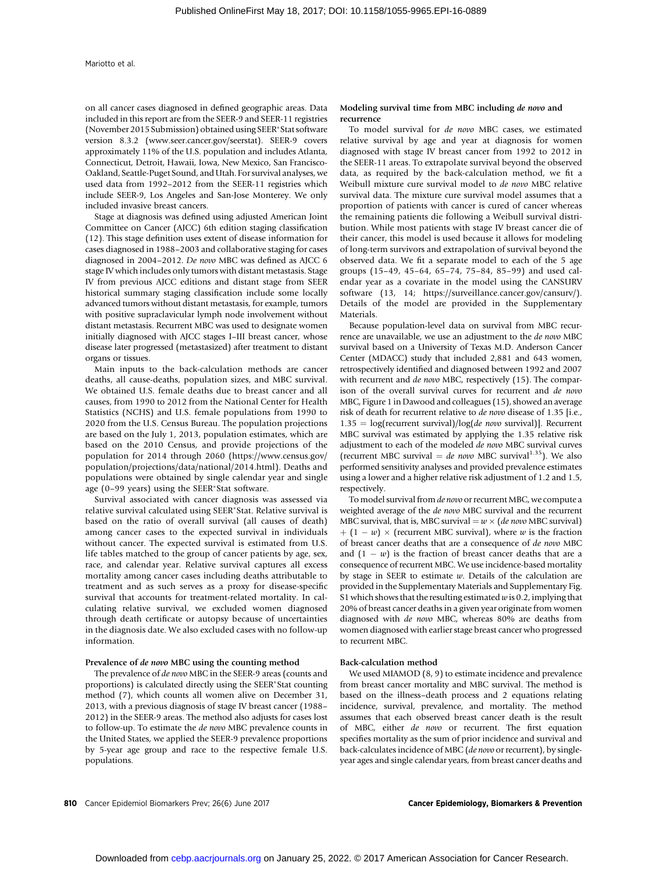#### Mariotto et al.

on all cancer cases diagnosed in defined geographic areas. Data included in this report are from the SEER-9 and SEER-11 registries (November 2015 Submission) obtained using SEER\*Stat software version 8.3.2 [\(www.seer.cancer.gov/seerstat\)](www.seer.cancer.gov/seerstat). SEER-9 covers approximately 11% of the U.S. population and includes Atlanta, Connecticut, Detroit, Hawaii, Iowa, New Mexico, San Francisco-Oakland, Seattle-Puget Sound, and Utah. For survival analyses, we used data from 1992–2012 from the SEER-11 registries which include SEER-9, Los Angeles and San-Jose Monterey. We only included invasive breast cancers.

Stage at diagnosis was defined using adjusted American Joint Committee on Cancer (AJCC) 6th edition staging classification (12). This stage definition uses extent of disease information for cases diagnosed in 1988–2003 and collaborative staging for cases diagnosed in 2004–2012. De novo MBC was defined as AJCC 6 stage IV which includes only tumors with distant metastasis. Stage IV from previous AJCC editions and distant stage from SEER historical summary staging classification include some locally advanced tumors without distant metastasis, for example, tumors with positive supraclavicular lymph node involvement without distant metastasis. Recurrent MBC was used to designate women initially diagnosed with AJCC stages I–III breast cancer, whose disease later progressed (metastasized) after treatment to distant organs or tissues.

Main inputs to the back-calculation methods are cancer deaths, all cause-deaths, population sizes, and MBC survival. We obtained U.S. female deaths due to breast cancer and all causes, from 1990 to 2012 from the National Center for Health Statistics (NCHS) and U.S. female populations from 1990 to 2020 from the U.S. Census Bureau. The population projections are based on the July 1, 2013, population estimates, which are based on the 2010 Census, and provide projections of the population for 2014 through 2060 ([https://www.census.gov/](https://www.census.gov/population/projections/data/national/2014.html) [population/projections/data/national/2014.html\)](https://www.census.gov/population/projections/data/national/2014.html). Deaths and populations were obtained by single calendar year and single age  $(0-99 \text{ years})$  using the SEER\*Stat software.

Survival associated with cancer diagnosis was assessed via relative survival calculated using SEER\*Stat. Relative survival is based on the ratio of overall survival (all causes of death) among cancer cases to the expected survival in individuals without cancer. The expected survival is estimated from U.S. life tables matched to the group of cancer patients by age, sex, race, and calendar year. Relative survival captures all excess mortality among cancer cases including deaths attributable to treatment and as such serves as a proxy for disease-specific survival that accounts for treatment-related mortality. In calculating relative survival, we excluded women diagnosed through death certificate or autopsy because of uncertainties in the diagnosis date. We also excluded cases with no follow-up information.

#### Prevalence of de novo MBC using the counting method

The prevalence of de novo MBC in the SEER-9 areas (counts and proportions) is calculated directly using the SEER\*Stat counting method (7), which counts all women alive on December 31, 2013, with a previous diagnosis of stage IV breast cancer (1988– 2012) in the SEER-9 areas. The method also adjusts for cases lost to follow-up. To estimate the de novo MBC prevalence counts in the United States, we applied the SEER-9 prevalence proportions by 5-year age group and race to the respective female U.S. populations.

#### Modeling survival time from MBC including de novo and recurrence

To model survival for de novo MBC cases, we estimated relative survival by age and year at diagnosis for women diagnosed with stage IV breast cancer from 1992 to 2012 in the SEER-11 areas. To extrapolate survival beyond the observed data, as required by the back-calculation method, we fit a Weibull mixture cure survival model to de novo MBC relative survival data. The mixture cure survival model assumes that a proportion of patients with cancer is cured of cancer whereas the remaining patients die following a Weibull survival distribution. While most patients with stage IV breast cancer die of their cancer, this model is used because it allows for modeling of long-term survivors and extrapolation of survival beyond the observed data. We fit a separate model to each of the 5 age groups (15–49, 45–64, 65–74, 75–84, 85–99) and used calendar year as a covariate in the model using the CANSURV software (13, 14; [https://surveillance.cancer.gov/cansurv/\)](https://surveillance.cancer.gov/cansurv/). Details of the model are provided in the Supplementary Materials.

Because population-level data on survival from MBC recurrence are unavailable, we use an adjustment to the de novo MBC survival based on a University of Texas M.D. Anderson Cancer Center (MDACC) study that included 2,881 and 643 women, retrospectively identified and diagnosed between 1992 and 2007 with recurrent and *de novo* MBC, respectively (15). The comparison of the overall survival curves for recurrent and de novo MBC, Figure 1 in Dawood and colleagues (15), showed an average risk of death for recurrent relative to de novo disease of 1.35 [i.e.,  $1.35 = \log(\text{recurrent survival})/\log(de\text{ now survival})$ ]. Recurrent MBC survival was estimated by applying the 1.35 relative risk adjustment to each of the modeled de novo MBC survival curves (recurrent MBC survival  $=$  *de novo* MBC survival<sup>1.35</sup>). We also performed sensitivity analyses and provided prevalence estimates using a lower and a higher relative risk adjustment of 1.2 and 1.5, respectively.

To model survival from de novo or recurrent MBC, we compute a weighted average of the de novo MBC survival and the recurrent MBC survival, that is, MBC survival =  $w \times (de \n1$  novo MBC survival)  $+(1 - w) \times$  (recurrent MBC survival), where w is the fraction of breast cancer deaths that are a consequence of de novo MBC and  $(1 - w)$  is the fraction of breast cancer deaths that are a consequence of recurrent MBC. We use incidence-based mortality by stage in SEER to estimate  $w$ . Details of the calculation are provided in the Supplementary Materials and Supplementary Fig. S1 which shows that the resulting estimated  $w$  is 0.2, implying that 20% of breast cancer deaths in a given year originate from women diagnosed with de novo MBC, whereas 80% are deaths from women diagnosed with earlier stage breast cancer who progressed to recurrent MBC.

#### Back-calculation method

We used MIAMOD (8, 9) to estimate incidence and prevalence from breast cancer mortality and MBC survival. The method is based on the illness–death process and 2 equations relating incidence, survival, prevalence, and mortality. The method assumes that each observed breast cancer death is the result of MBC, either de novo or recurrent. The first equation specifies mortality as the sum of prior incidence and survival and back-calculates incidence of MBC (de novo or recurrent), by singleyear ages and single calendar years, from breast cancer deaths and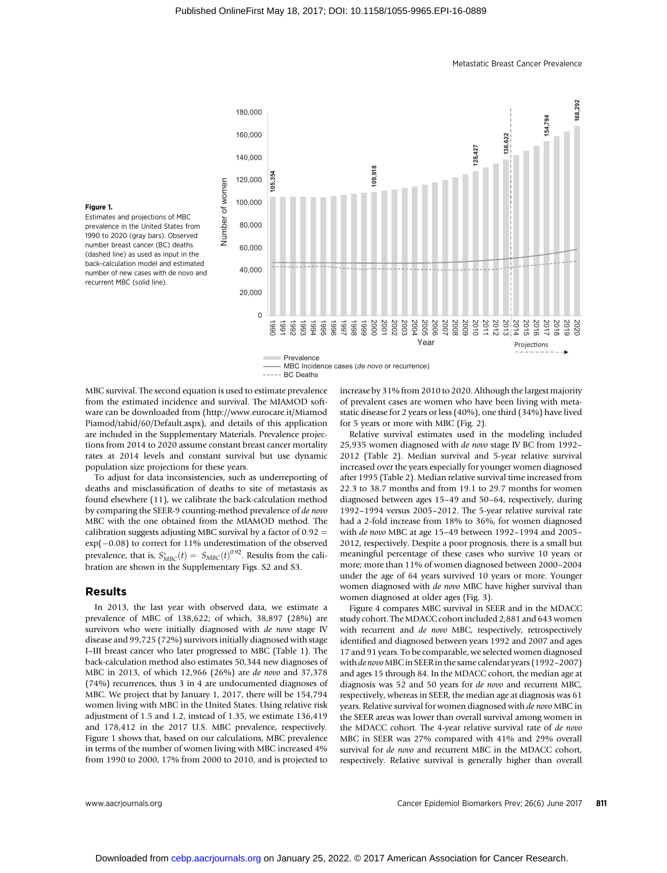Metastatic Breast Cancer Prevalence





MBC survival. The second equation is used to estimate prevalence from the estimated incidence and survival. The MIAMOD software can be downloaded from [\(http://www.eurocare.it/Miamod](http://www.eurocare.it/MiamodPiamod/tabid/60/Default.aspx) [Piamod/tabid/60/Default.aspx](http://www.eurocare.it/MiamodPiamod/tabid/60/Default.aspx)), and details of this application are included in the Supplementary Materials. Prevalence projections from 2014 to 2020 assume constant breast cancer mortality rates at 2014 levels and constant survival but use dynamic population size projections for these years.

To adjust for data inconsistencies, such as underreporting of deaths and misclassification of deaths to site of metastasis as found elsewhere (11), we calibrate the back-calculation method by comparing the SEER-9 counting-method prevalence of de novo MBC with the one obtained from the MIAMOD method. The calibration suggests adjusting MBC survival by a factor of  $0.92 =$  $exp(-0.08)$  to correct for 11% underestimation of the observed prevalence, that is,  $S_{MBC}^*(t) = S_{MBC}(t)^{0.92}$ . Results from the calibration are shown in the Supplementary Figs. S2 and S3.

## Results

In 2013, the last year with observed data, we estimate a prevalence of MBC of 138,622; of which, 38,897 (28%) are survivors who were initially diagnosed with de novo stage IV disease and 99,725 (72%) survivors initially diagnosed with stage I–III breast cancer who later progressed to MBC (Table 1). The back-calculation method also estimates 50,344 new diagnoses of MBC in 2013, of which 12,966 (26%) are de novo and 37,378 (74%) recurrences, thus 3 in 4 are undocumented diagnoses of MBC. We project that by January 1, 2017, there will be 154,794 women living with MBC in the United States. Using relative risk adjustment of 1.5 and 1.2, instead of 1.35, we estimate 136,419 and 178,412 in the 2017 U.S. MBC prevalence, respectively. Figure 1 shows that, based on our calculations, MBC prevalence in terms of the number of women living with MBC increased 4% from 1990 to 2000, 17% from 2000 to 2010, and is projected to increase by 31% from 2010 to 2020. Although the largest majority of prevalent cases are women who have been living with metastatic disease for 2 years or less (40%), one third (34%) have lived for 5 years or more with MBC (Fig. 2).

Relative survival estimates used in the modeling included 25,935 women diagnosed with de novo stage IV BC from 1992– 2012 (Table 2). Median survival and 5-year relative survival increased over the years especially for younger women diagnosed after 1995 (Table 2). Median relative survival time increased from 22.3 to 38.7 months and from 19.1 to 29.7 months for women diagnosed between ages 15–49 and 50–64, respectively, during 1992–1994 versus 2005–2012. The 5-year relative survival rate had a 2-fold increase from 18% to 36%, for women diagnosed with de novo MBC at age 15–49 between 1992–1994 and 2005– 2012, respectively. Despite a poor prognosis, there is a small but meaningful percentage of these cases who survive 10 years or more; more than 11% of women diagnosed between 2000–2004 under the age of 64 years survived 10 years or more. Younger women diagnosed with de novo MBC have higher survival than women diagnosed at older ages (Fig. 3).

Figure 4 compares MBC survival in SEER and in the MDACC study cohort. The MDACC cohort included 2,881 and 643 women with recurrent and de novo MBC, respectively, retrospectively identified and diagnosed between years 1992 and 2007 and ages 17 and 91 years. To be comparable, we selected women diagnosed with de novo MBC in SEER in the same calendar years (1992–2007) and ages 15 through 84. In the MDACC cohort, the median age at diagnosis was 52 and 50 years for de novo and recurrent MBC, respectively, whereas in SEER, the median age at diagnosis was 61 years. Relative survival for women diagnosed with de novo MBC in the SEER areas was lower than overall survival among women in the MDACC cohort. The 4-year relative survival rate of de novo MBC in SEER was 27% compared with 41% and 29% overall survival for *de novo* and recurrent MBC in the MDACC cohort, respectively. Relative survival is generally higher than overall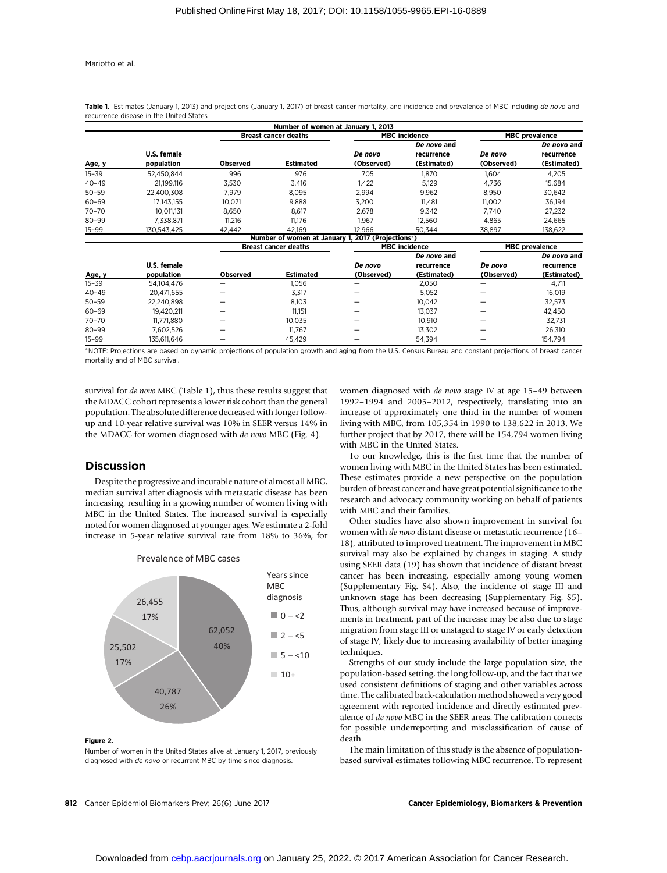#### Mariotto et al.

Table 1. Estimates (January 1, 2013) and projections (January 1, 2017) of breast cancer mortality, and incidence and prevalence of MBC including de novo and recurrence disease in the United States

| Number of women at January 1, 2013 |             |                             |                  |                                                               |             |                       |             |
|------------------------------------|-------------|-----------------------------|------------------|---------------------------------------------------------------|-------------|-----------------------|-------------|
|                                    |             | <b>Breast cancer deaths</b> |                  | <b>MBC</b> incidence                                          |             | <b>MBC</b> prevalence |             |
|                                    |             |                             |                  |                                                               | De novo and |                       | De novo and |
|                                    | U.S. female |                             |                  | De novo                                                       | recurrence  | De novo               | recurrence  |
| Age, y                             | population  | Observed                    | <b>Estimated</b> | (Observed)                                                    | (Estimated) | (Observed)            | (Estimated) |
| $15 - 39$                          | 52.450.844  | 996                         | 976              | 705                                                           | 1.870       | 1.604                 | 4.205       |
| $40 - 49$                          | 21.199.116  | 3.530                       | 3.416            | 1.422                                                         | 5.129       | 4.736                 | 15.684      |
| $50 - 59$                          | 22.400.308  | 7.979                       | 8.095            | 2.994                                                         | 9.962       | 8.950                 | 30.642      |
| $60 - 69$                          | 17.143.155  | 10.071                      | 9.888            | 3.200                                                         | 11.481      | 11.002                | 36.194      |
| $70 - 70$                          | 10.011.131  | 8.650                       | 8.617            | 2.678                                                         | 9.342       | 7.740                 | 27.232      |
| 80-99                              | 7,338,871   | 11.216                      | 11.176           | 1.967                                                         | 12.560      | 4,865                 | 24.665      |
| $15 - 99$                          | 130,543,425 | 42,442                      | 42.169           | 12.966                                                        | 50.344      | 38.897                | 138,622     |
|                                    |             |                             |                  | Number of women at January 1 2017 (Projections <sup>*</sup> ) |             |                       |             |

|           |             | <b>Breast cancer deaths</b> |                  | <b>MBC</b> incidence |             | <b>MBC</b> prevalence |             |
|-----------|-------------|-----------------------------|------------------|----------------------|-------------|-----------------------|-------------|
|           |             |                             |                  |                      | De novo and |                       | De novo and |
|           | U.S. female |                             |                  | De novo              | recurrence  | De novo               | recurrence  |
| Age, y    | population  | <b>Observed</b>             | <b>Estimated</b> | (Observed)           | (Estimated) | (Observed)            | (Estimated) |
| $15 - 39$ | 54,104,476  |                             | 1.056            |                      | 2.050       |                       | 4,711       |
| $40 - 49$ | 20,471,655  |                             | 3.317            |                      | 5.052       |                       | 16.019      |
| $50 - 59$ | 22.240.898  |                             | 8.103            |                      | 10.042      |                       | 32.573      |
| 60-69     | 19.420.211  |                             | 11.151           |                      | 13.037      |                       | 42.450      |
| $70 - 70$ | 11,771,880  |                             | 10.035           |                      | 10.910      |                       | 32.731      |
| 80-99     | 7.602.526   |                             | 11.767           |                      | 13.302      |                       | 26.310      |
| $15 - 99$ | 135.611.646 |                             | 45.429           |                      | 54,394      |                       | 154.794     |

\*NOTE: Projections are based on dynamic projections of population growth and aging from the U.S. Census Bureau and constant projections of breast cancer mortality and of MBC survival.

survival for *de novo* MBC (Table 1), thus these results suggest that the MDACC cohort represents a lower risk cohort than the general population. The absolute difference decreased with longer followup and 10-year relative survival was 10% in SEER versus 14% in the MDACC for women diagnosed with de novo MBC (Fig. 4).

## Discussion

Despite the progressive and incurable nature of almost all MBC, median survival after diagnosis with metastatic disease has been increasing, resulting in a growing number of women living with MBC in the United States. The increased survival is especially noted for women diagnosed at younger ages. We estimate a 2-fold increase in 5-year relative survival rate from 18% to 36%, for



Figure 2.

Number of women in the United States alive at January 1, 2017, previously diagnosed with de novo or recurrent MBC by time since diagnosis.

women diagnosed with de novo stage IV at age 15–49 between 1992–1994 and 2005–2012, respectively, translating into an increase of approximately one third in the number of women living with MBC, from 105,354 in 1990 to 138,622 in 2013. We further project that by 2017, there will be 154,794 women living with MBC in the United States.

To our knowledge, this is the first time that the number of women living with MBC in the United States has been estimated. These estimates provide a new perspective on the population burden of breast cancer and have great potential significance to the research and advocacy community working on behalf of patients with MBC and their families.

Other studies have also shown improvement in survival for women with de novo distant disease or metastatic recurrence (16– 18), attributed to improved treatment. The improvement in MBC survival may also be explained by changes in staging. A study using SEER data (19) has shown that incidence of distant breast cancer has been increasing, especially among young women (Supplementary Fig. S4). Also, the incidence of stage III and unknown stage has been decreasing (Supplementary Fig. S5). Thus, although survival may have increased because of improvements in treatment, part of the increase may be also due to stage migration from stage III or unstaged to stage IV or early detection of stage IV, likely due to increasing availability of better imaging techniques.

Strengths of our study include the large population size, the population-based setting, the long follow-up, and the fact that we used consistent definitions of staging and other variables across time. The calibrated back-calculation method showed a very good agreement with reported incidence and directly estimated prevalence of de novo MBC in the SEER areas. The calibration corrects for possible underreporting and misclassification of cause of death.

The main limitation of this study is the absence of populationbased survival estimates following MBC recurrence. To represent

812 Cancer Epidemiol Biomarkers Prev; 26(6) June 2017 Cancer Content Cancer Epidemiology, Biomarkers & Prevention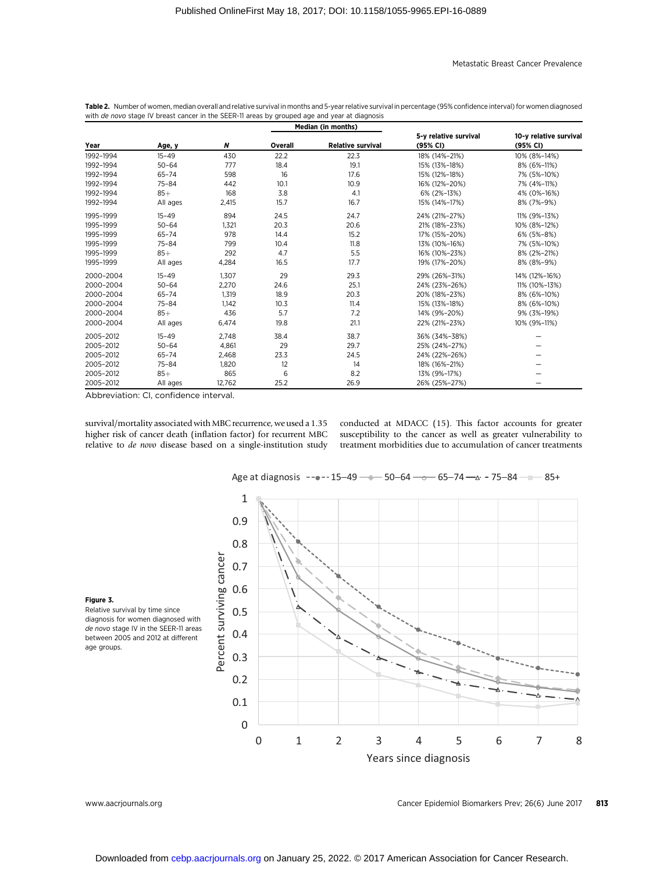#### Metastatic Breast Cancer Prevalence

|           |           |        |         | <b>Median (in months)</b> |                                   |                                    |
|-----------|-----------|--------|---------|---------------------------|-----------------------------------|------------------------------------|
| Year      | Age, y    | N      | Overall | <b>Relative survival</b>  | 5-y relative survival<br>(95% CI) | 10-y relative survival<br>(95% CI) |
| 1992-1994 | $15 - 49$ | 430    | 22.2    | 22.3                      | 18% (14%-21%)                     | 10% (8%-14%)                       |
| 1992-1994 | $50 - 64$ | 777    | 18.4    | 19.1                      | 15% (13%-18%)                     | 8% (6%-11%)                        |
| 1992-1994 | $65 - 74$ | 598    | 16      | 17.6                      | 15% (12%-18%)                     | 7% (5%-10%)                        |
| 1992-1994 | $75 - 84$ | 442    | 10.1    | 10.9                      | 16% (12%-20%)                     | 7% (4%-11%)                        |
| 1992-1994 | $85+$     | 168    | 3.8     | 4.1                       | 6% (2%-13%)                       | 4% (0%-16%)                        |
| 1992-1994 | All ages  | 2,415  | 15.7    | 16.7                      | 15% (14%-17%)                     | 8% (7%-9%)                         |
| 1995-1999 | $15 - 49$ | 894    | 24.5    | 24.7                      | 24% (21%-27%)                     | 11% (9%-13%)                       |
| 1995-1999 | $50 - 64$ | 1.321  | 20.3    | 20.6                      | 21% (18%-23%)                     | 10% (8%-12%)                       |
| 1995-1999 | $65 - 74$ | 978    | 14.4    | 15.2                      | 17% (15%-20%)                     | 6% (5%-8%)                         |
| 1995-1999 | $75 - 84$ | 799    | 10.4    | 11.8                      | 13% (10%-16%)                     | 7% (5%-10%)                        |
| 1995-1999 | $85+$     | 292    | 4.7     | 5.5                       | 16% (10%-23%)                     | 8% (2%-21%)                        |
| 1995-1999 | All ages  | 4,284  | 16.5    | 17.7                      | 19% (17%-20%)                     | 8% (8%-9%)                         |
| 2000-2004 | $15 - 49$ | 1,307  | 29      | 29.3                      | 29% (26%-31%)                     | 14% (12%-16%)                      |
| 2000-2004 | $50 - 64$ | 2,270  | 24.6    | 25.1                      | 24% (23%-26%)                     | 11% (10%-13%)                      |
| 2000-2004 | $65 - 74$ | 1,319  | 18.9    | 20.3                      | 20% (18%-23%)                     | 8% (6%-10%)                        |
| 2000-2004 | $75 - 84$ | 1,142  | 10.3    | 11.4                      | 15% (13%-18%)                     | 8% (6%-10%)                        |
| 2000-2004 | $85+$     | 436    | 5.7     | 7.2                       | 14% (9%-20%)                      | 9% (3%-19%)                        |
| 2000-2004 | All ages  | 6,474  | 19.8    | 21.1                      | 22% (21%-23%)                     | 10% (9%-11%)                       |
| 2005-2012 | $15 - 49$ | 2.748  | 38.4    | 38.7                      | 36% (34%-38%)                     |                                    |
| 2005-2012 | $50 - 64$ | 4,861  | 29      | 29.7                      | 25% (24%-27%)                     |                                    |
| 2005-2012 | $65 - 74$ | 2,468  | 23.3    | 24.5                      | 24% (22%-26%)                     |                                    |
| 2005-2012 | $75 - 84$ | 1,820  | 12      | 14                        | 18% (16%-21%)                     |                                    |
| 2005-2012 | $85+$     | 865    | 6       | 8.2                       | 13% (9%-17%)                      |                                    |
| 2005-2012 | All ages  | 12,762 | 25.2    | 26.9                      | 26% (25%-27%)                     |                                    |

Table 2. Number of women, median overall and relative survival in months and 5-year relative survival in percentage (95% confidence interval) for women diagnosed with de novo stage IV breast cancer in the SEER-11 areas by grouped age and year at diagnosis

Abbreviation: CI, confidence interval.

survival/mortality associated with MBC recurrence, we used a 1.35 higher risk of cancer death (inflation factor) for recurrent MBC relative to de novo disease based on a single-institution study

conducted at MDACC (15). This factor accounts for greater susceptibility to the cancer as well as greater vulnerability to treatment morbidities due to accumulation of cancer treatments



#### Figure 3.

Relative survival by time since diagnosis for women diagnosed with de novo stage IV in the SEER-11 areas between 2005 and 2012 at different age groups.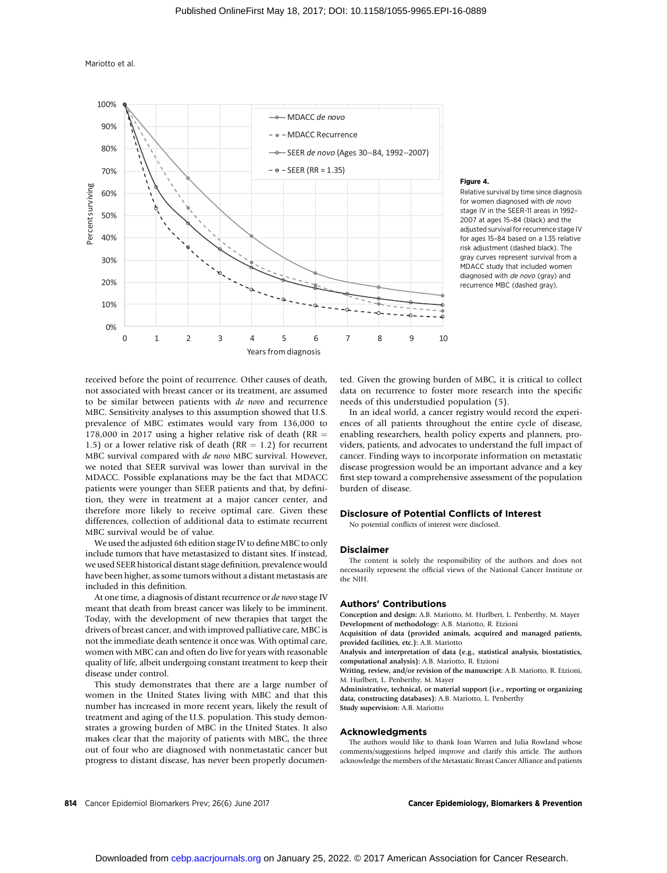Mariotto et al.



#### Figure 4.

Relative survival by time since diagnosis for women diagnosed with de novo stage IV in the SEER-11 areas in 1992– 2007 at ages 15–84 (black) and the adjusted survival for recurrence stage IV for ages 15–84 based on a 1.35 relative risk adjustment (dashed black). The gray curves represent survival from a MDACC study that included women diagnosed with de novo (gray) and recurrence MBC (dashed gray).

received before the point of recurrence. Other causes of death, not associated with breast cancer or its treatment, are assumed to be similar between patients with de novo and recurrence MBC. Sensitivity analyses to this assumption showed that U.S. prevalence of MBC estimates would vary from 136,000 to 178,000 in 2017 using a higher relative risk of death (RR  $=$ 1.5) or a lower relative risk of death ( $RR = 1.2$ ) for recurrent MBC survival compared with de novo MBC survival. However, we noted that SEER survival was lower than survival in the MDACC. Possible explanations may be the fact that MDACC patients were younger than SEER patients and that, by definition, they were in treatment at a major cancer center, and therefore more likely to receive optimal care. Given these differences, collection of additional data to estimate recurrent MBC survival would be of value.

We used the adjusted 6th edition stage IV to define MBC to only include tumors that have metastasized to distant sites. If instead, we used SEER historical distant stage definition, prevalence would have been higher, as some tumors without a distant metastasis are included in this definition.

At one time, a diagnosis of distant recurrence or de novo stage IV meant that death from breast cancer was likely to be imminent. Today, with the development of new therapies that target the drivers of breast cancer, and with improved palliative care, MBC is not the immediate death sentence it once was. With optimal care, women with MBC can and often do live for years with reasonable quality of life, albeit undergoing constant treatment to keep their disease under control.

This study demonstrates that there are a large number of women in the United States living with MBC and that this number has increased in more recent years, likely the result of treatment and aging of the U.S. population. This study demonstrates a growing burden of MBC in the United States. It also makes clear that the majority of patients with MBC, the three out of four who are diagnosed with nonmetastatic cancer but progress to distant disease, has never been properly documented. Given the growing burden of MBC, it is critical to collect data on recurrence to foster more research into the specific needs of this understudied population (5).

In an ideal world, a cancer registry would record the experiences of all patients throughout the entire cycle of disease, enabling researchers, health policy experts and planners, providers, patients, and advocates to understand the full impact of cancer. Finding ways to incorporate information on metastatic disease progression would be an important advance and a key first step toward a comprehensive assessment of the population burden of disease.

#### Disclosure of Potential Conflicts of Interest

No potential conflicts of interest were disclosed.

#### Disclaimer

The content is solely the responsibility of the authors and does not necessarily represent the official views of the National Cancer Institute or the NIH.

#### Authors' Contributions

Conception and design: A.B. Mariotto, M. Hurlbert, L. Penberthy, M. Mayer Development of methodology: A.B. Mariotto, R. Etzioni

Acquisition of data (provided animals, acquired and managed patients, provided facilities, etc.): A.B. Mariotto

Analysis and interpretation of data (e.g., statistical analysis, biostatistics, computational analysis): A.B. Mariotto, R. Etzioni

Writing, review, and/or revision of the manuscript: A.B. Mariotto, R. Etzioni, M. Hurlbert, L. Penberthy, M. Mayer

Administrative, technical, or material support (i.e., reporting or organizing data, constructing databases): A.B. Mariotto, L. Penberthy Study supervision: A.B. Mariotto

# Acknowledgments

The authors would like to thank Joan Warren and Julia Rowland whose comments/suggestions helped improve and clarify this article. The authors acknowledge the members of the Metastatic Breast Cancer Alliance and patients

814 Cancer Epidemiol Biomarkers Prev; 26(6) June 2017 Cancer Content Cancer Epidemiology, Biomarkers & Prevention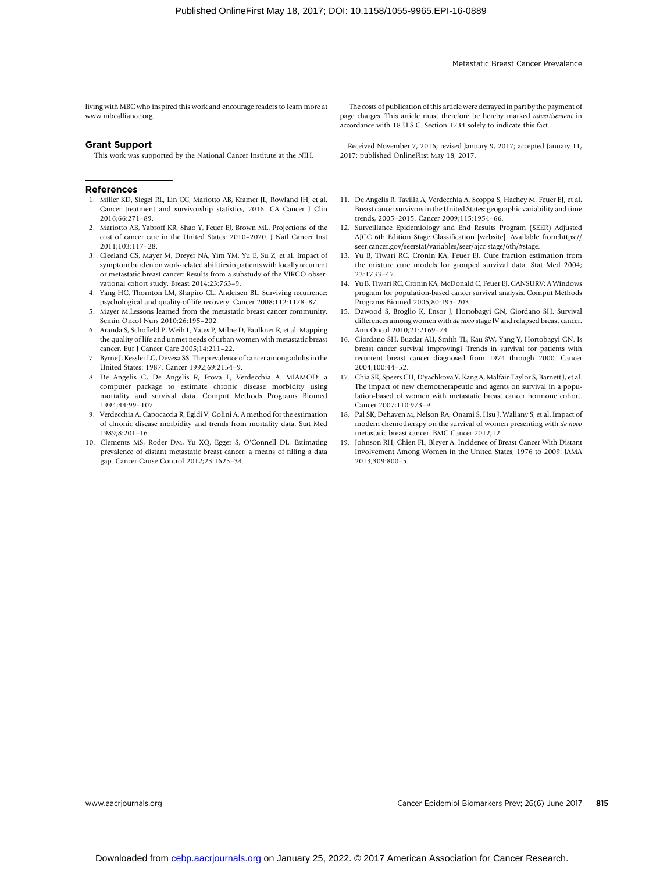living with MBC who inspired this work and encourage readers to learn more at [www.mbcalliance.org.](www.mbcalliance.org)

#### Grant Support

This work was supported by the National Cancer Institute at the NIH.

#### References

- 1. Miller KD, Siegel RL, Lin CC, Mariotto AB, Kramer JL, Rowland JH, et al. Cancer treatment and survivorship statistics, 2016. CA Cancer J Clin 2016;66:271–89.
- 2. Mariotto AB, Yabroff KR, Shao Y, Feuer EJ, Brown ML. Projections of the cost of cancer care in the United States: 2010–2020. J Natl Cancer Inst 2011;103:117–28.
- 3. Cleeland CS, Mayer M, Dreyer NA, Yim YM, Yu E, Su Z, et al. Impact of symptom burden on work-related abilities in patients with locally recurrent or metastatic breast cancer: Results from a substudy of the VIRGO observational cohort study. Breast 2014;23:763–9.
- 4. Yang HC, Thornton LM, Shapiro CL, Andersen BL. Surviving recurrence: psychological and quality-of-life recovery. Cancer 2008;112:1178–87.
- 5. Mayer M.Lessons learned from the metastatic breast cancer community. Semin Oncol Nurs 2010;26:195–202.
- 6. Aranda S, Schofield P, Weih L, Yates P, Milne D, Faulkner R, et al. Mapping the quality of life and unmet needs of urban women with metastatic breast cancer. Eur J Cancer Care 2005;14:211–22.
- 7. Byrne J, Kessler LG, Devesa SS. The prevalence of cancer among adults in the United States: 1987. Cancer 1992;69:2154–9.
- 8. De Angelis G, De Angelis R, Frova L, Verdecchia A. MIAMOD: a computer package to estimate chronic disease morbidity using mortality and survival data. Comput Methods Programs Biomed 1994;44:99–107.
- 9. Verdecchia A, Capocaccia R, Egidi V, Golini A. A method for the estimation of chronic disease morbidity and trends from mortality data. Stat Med 1989;8:201–16.
- 10. Clements MS, Roder DM, Yu XQ, Egger S, O'Connell DL. Estimating prevalence of distant metastatic breast cancer: a means of filling a data gap. Cancer Cause Control 2012;23:1625–34.

The costs of publication of this article were defrayed in part by the payment of page charges. This article must therefore be hereby marked advertisement in accordance with 18 U.S.C. Section 1734 solely to indicate this fact.

Received November 7, 2016; revised January 9, 2017; accepted January 11, 2017; published OnlineFirst May 18, 2017.

- 11. De Angelis R, Tavilla A, Verdecchia A, Scoppa S, Hachey M, Feuer EJ, et al. Breast cancer survivors in the United States: geographic variability and time trends, 2005–2015. Cancer 2009;115:1954–66.
- 12. Surveillance Epidemiology and End Results Program (SEER) Adjusted AJCC 6th Edition Stage Classification [website]. Available from[:https://](https://seer.cancer.gov/seerstat/variables/seer/ajcc-stage/6th/#stage) [seer.cancer.gov/seerstat/variables/seer/ajcc-stage/6th/#stage](https://seer.cancer.gov/seerstat/variables/seer/ajcc-stage/6th/#stage).
- 13. Yu B, Tiwari RC, Cronin KA, Feuer EJ. Cure fraction estimation from the mixture cure models for grouped survival data. Stat Med 2004; 23:1733–47.
- 14. Yu B, Tiwari RC, Cronin KA, McDonald C, Feuer EJ. CANSURV: A Windows program for population-based cancer survival analysis. Comput Methods Programs Biomed 2005;80:195–203.
- 15. Dawood S, Broglio K, Ensor J, Hortobagyi GN, Giordano SH. Survival differences among women with de novo stage IV and relapsed breast cancer. Ann Oncol 2010;21:2169–74.
- 16. Giordano SH, Buzdar AU, Smith TL, Kau SW, Yang Y, Hortobagyi GN. Is breast cancer survival improving? Trends in survival for patients with recurrent breast cancer diagnosed from 1974 through 2000. Cancer 2004;100:44–52.
- 17. Chia SK, Speers CH, D'yachkova Y, Kang A, Malfair-Taylor S, Barnett J, et al. The impact of new chemotherapeutic and agents on survival in a population-based of women with metastatic breast cancer hormone cohort. Cancer 2007;110:973–9.
- 18. Pal SK, Dehaven M, Nelson RA, Onami S, Hsu J, Waliany S, et al. Impact of modern chemotherapy on the survival of women presenting with de novo metastatic breast cancer. BMC Cancer 2012;12.
- 19. Johnson RH, Chien FL, Bleyer A. Incidence of Breast Cancer With Distant Involvement Among Women in the United States, 1976 to 2009. JAMA 2013;309:800–5.